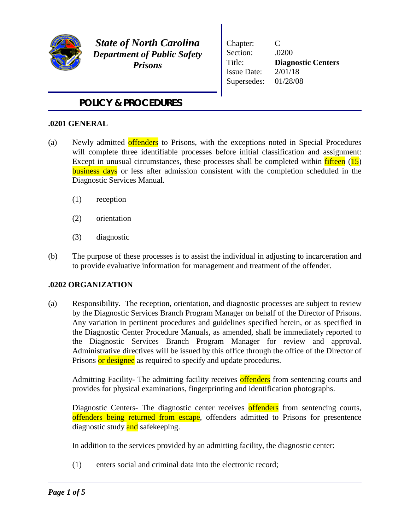

*State of North Carolina Department of Public Safety Prisons*

Chapter: C Section: .0200 Title: **Diagnostic Centers**  Issue Date: 2/01/18 Supersedes: 01/28/08

# *POLICY & PROCEDURES*

## **.0201 GENERAL**

- (a) Newly admitted offenders to Prisons, with the exceptions noted in Special Procedures will complete three identifiable processes before initial classification and assignment: Except in unusual circumstances, these processes shall be completed within fifteen (15) **business days** or less after admission consistent with the completion scheduled in the Diagnostic Services Manual.
	- (1) reception
	- (2) orientation
	- (3) diagnostic
- (b) The purpose of these processes is to assist the individual in adjusting to incarceration and to provide evaluative information for management and treatment of the offender.

## **.0202 ORGANIZATION**

(a) Responsibility. The reception, orientation, and diagnostic processes are subject to review by the Diagnostic Services Branch Program Manager on behalf of the Director of Prisons. Any variation in pertinent procedures and guidelines specified herein, or as specified in the Diagnostic Center Procedure Manuals, as amended, shall be immediately reported to the Diagnostic Services Branch Program Manager for review and approval. Administrative directives will be issued by this office through the office of the Director of Prisons or designee as required to specify and update procedures.

Admitting Facility- The admitting facility receives offenders from sentencing courts and provides for physical examinations, fingerprinting and identification photographs.

Diagnostic Centers- The diagnostic center receives offenders from sentencing courts, offenders being returned from escape, offenders admitted to Prisons for presentence diagnostic study and safekeeping.

In addition to the services provided by an admitting facility, the diagnostic center:

(1) enters social and criminal data into the electronic record;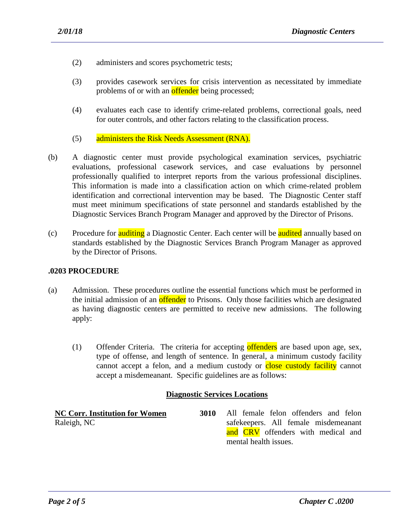- (2) administers and scores psychometric tests;
- (3) provides casework services for crisis intervention as necessitated by immediate problems of or with an **offender** being processed;
- (4) evaluates each case to identify crime-related problems, correctional goals, need for outer controls, and other factors relating to the classification process.
- (5) administers the Risk Needs Assessment (RNA).
- (b) A diagnostic center must provide psychological examination services, psychiatric evaluations, professional casework services, and case evaluations by personnel professionally qualified to interpret reports from the various professional disciplines. This information is made into a classification action on which crime-related problem identification and correctional intervention may be based. The Diagnostic Center staff must meet minimum specifications of state personnel and standards established by the Diagnostic Services Branch Program Manager and approved by the Director of Prisons.
- (c) Procedure for **auditing** a Diagnostic Center. Each center will be **audited** annually based on standards established by the Diagnostic Services Branch Program Manager as approved by the Director of Prisons.

### **.0203 PROCEDURE**

- (a) Admission. These procedures outline the essential functions which must be performed in the initial admission of an **offender** to Prisons. Only those facilities which are designated as having diagnostic centers are permitted to receive new admissions. The following apply:
	- (1) Offender Criteria. The criteria for accepting offenders are based upon age, sex, type of offense, and length of sentence. In general, a minimum custody facility cannot accept a felon, and a medium custody or close custody facility cannot accept a misdemeanant. Specific guidelines are as follows:

### **Diagnostic Services Locations**

| <b>NC Corr. Institution for Women</b> | 3010 | All female felon offenders and felon |
|---------------------------------------|------|--------------------------------------|
| Raleigh, NC                           |      | safekeepers. All female misdemeanant |
|                                       |      | and CRV offenders with medical and   |
|                                       |      | mental health issues.                |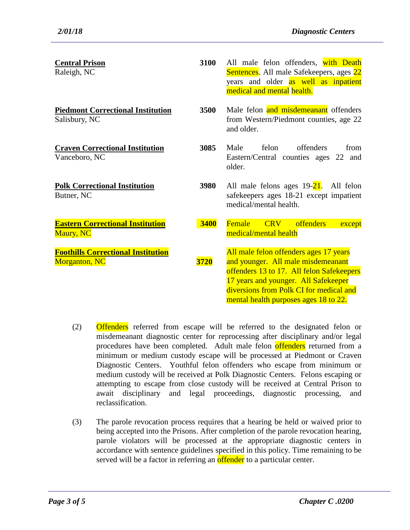| <b>Central Prison</b><br>Raleigh, NC                              | 3100        | All male felon offenders, with Death<br>Sentences. All male Safekeepers, ages 22<br>years and older as well as inpatient<br>medical and mental health.                                                                                                |
|-------------------------------------------------------------------|-------------|-------------------------------------------------------------------------------------------------------------------------------------------------------------------------------------------------------------------------------------------------------|
| <b>Piedmont Correctional Institution</b><br>Salisbury, NC         | 3500        | Male felon and misdemeanant offenders<br>from Western/Piedmont counties, age 22<br>and older.                                                                                                                                                         |
| <b>Craven Correctional Institution</b><br>Vanceboro, NC           | 3085        | offenders<br>Male<br>felon<br>from<br>Eastern/Central counties ages 22 and<br>older.                                                                                                                                                                  |
| <b>Polk Correctional Institution</b><br>Butner, NC                | 3980        | All male felons ages $19-21$ . All felon<br>safekeepers ages 18-21 except impatient<br>medical/mental health.                                                                                                                                         |
| <b>Eastern Correctional Institution</b><br><b>Maury</b> , NC      | <b>3400</b> | Female<br><b>CRV</b><br><b>offenders</b><br>except<br>medical/mental health                                                                                                                                                                           |
| <b>Foothills Correctional Institution</b><br><b>Morganton, NC</b> | 3720        | All male felon offenders ages 17 years<br>and younger. All male misdemeanant<br>offenders 13 to 17. All felon Safekeepers<br>17 years and younger. All Safekeeper<br>diversions from Polk CI for medical and<br>mental health purposes ages 18 to 22. |

- (2) Offenders referred from escape will be referred to the designated felon or misdemeanant diagnostic center for reprocessing after disciplinary and/or legal procedures have been completed. Adult male felon offenders returned from a minimum or medium custody escape will be processed at Piedmont or Craven Diagnostic Centers. Youthful felon offenders who escape from minimum or medium custody will be received at Polk Diagnostic Centers. Felons escaping or attempting to escape from close custody will be received at Central Prison to await disciplinary and legal proceedings, diagnostic processing, and reclassification.
- (3) The parole revocation process requires that a hearing be held or waived prior to being accepted into the Prisons. After completion of the parole revocation hearing, parole violators will be processed at the appropriate diagnostic centers in accordance with sentence guidelines specified in this policy. Time remaining to be served will be a factor in referring an offender to a particular center.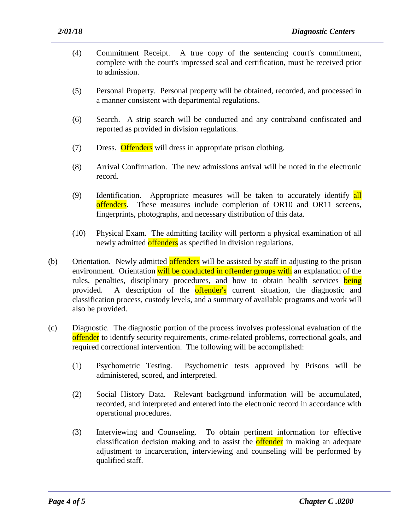- (4) Commitment Receipt. A true copy of the sentencing court's commitment, complete with the court's impressed seal and certification, must be received prior to admission.
- (5) Personal Property. Personal property will be obtained, recorded, and processed in a manner consistent with departmental regulations.
- (6) Search. A strip search will be conducted and any contraband confiscated and reported as provided in division regulations.
- (7) Dress. Offenders will dress in appropriate prison clothing.
- (8) Arrival Confirmation. The new admissions arrival will be noted in the electronic record.
- (9) Identification. Appropriate measures will be taken to accurately identify all offenders. These measures include completion of OR10 and OR11 screens, fingerprints, photographs, and necessary distribution of this data.
- (10) Physical Exam. The admitting facility will perform a physical examination of all newly admitted offenders as specified in division regulations.
- (b) Orientation. Newly admitted offenders will be assisted by staff in adjusting to the prison environment. Orientation will be conducted in offender groups with an explanation of the rules, penalties, disciplinary procedures, and how to obtain health services being provided. A description of the **offender's** current situation, the diagnostic and classification process, custody levels, and a summary of available programs and work will also be provided.
- (c) Diagnostic. The diagnostic portion of the process involves professional evaluation of the offender to identify security requirements, crime-related problems, correctional goals, and required correctional intervention. The following will be accomplished:
	- (1) Psychometric Testing. Psychometric tests approved by Prisons will be administered, scored, and interpreted.
	- (2) Social History Data. Relevant background information will be accumulated, recorded, and interpreted and entered into the electronic record in accordance with operational procedures.
	- (3) Interviewing and Counseling. To obtain pertinent information for effective classification decision making and to assist the **offender** in making an adequate adjustment to incarceration, interviewing and counseling will be performed by qualified staff.